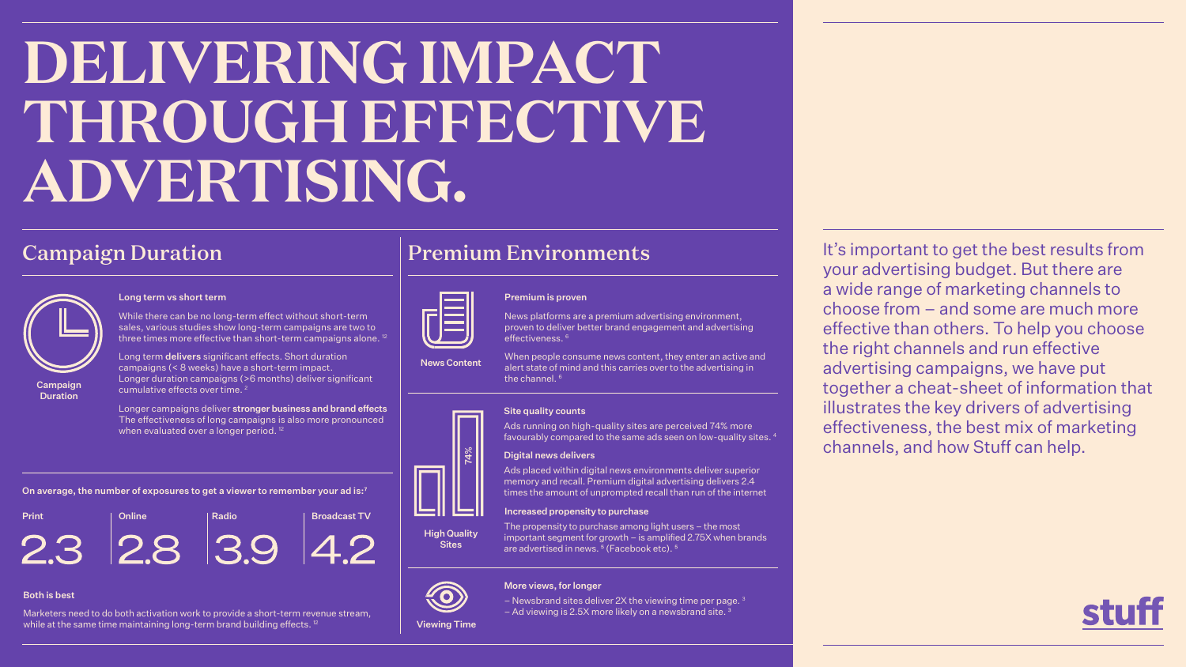# **DELIVERING IMPACT THROUGH EFFECTIVE ADVERTISING.**

Marketers need to do both activation work to provide a short-term revenue stream, while at the same time maintaining long-term brand building effects.<sup>12</sup>

On average, the number of exposures to get a viewer to remember your ad is:<sup>7</sup>

### oroven

## Both is best

## Campaign Duration

### Long term vs short term

Longer campaigns deliver stronger business and brand effects The effectiveness of long campaigns is also more pronounced when evaluated over a longer period.<sup>12</sup>

While there can be no long-term effect without short-term sales, various studies show long-term campaigns are two to three times more effective than short-term campaigns alone. 12

Long term delivers significant effects. Short duration campaigns (< 8 weeks) have a short-term impact. Longer duration campaigns (>6 months) deliver significant cumulative effects over time. 2

It's important to get the best results from your advertising budget. But there are a wide range of marketing channels to choose from – and some are much more effective than others. To help you choose the right channels and run effective advertising campaigns, we have put together a cheat-sheet of information that illustrates the key drivers of advertising effectiveness, the best mix of marketing channels, and how Stuff can help.

























































The propensity to purchase among light users – the most important segment for growth – is amplified 2.75X when brands are advertised in news.<sup>5</sup> (Facebook etc).<sup>5</sup>

– Newsbrand sites deliver 2X the viewing time per page.  $3$ – Ad viewing is 2.5X more likely on a newsbrand site.<sup>3</sup>



Campaign **Duration** 

High Quality **Sites** 





When people consume news content, they enter an active and alert state of mind and this carries over to the advertising in the channel.<sup>6</sup>

## More views, for longer

- 
- 
- 

# Print Radio Radio Broadcast TV























## Site quality counts

Ads running on high-quality sites are perceived 74% more favourably compared to the same ads seen on low-quality sites. 4

## $\mathfrak{X}$  | Digital news delivers

Ads placed within digital news environments deliver superior memory and recall. Premium digital advertising delivers 2.4 times the amount of unprompted recall than run of the internet

## Increased propensity to purchase

- 
- 
- 
- 
- Viewing Time<br>Viewing Time<br>Viewing Time

## Premium Environments

|  | <b>Premium is</b> |  |
|--|-------------------|--|

News Content

News platforms are a premium advertising environment, proven to deliver better brand engagement and advertising effectiveness. 6